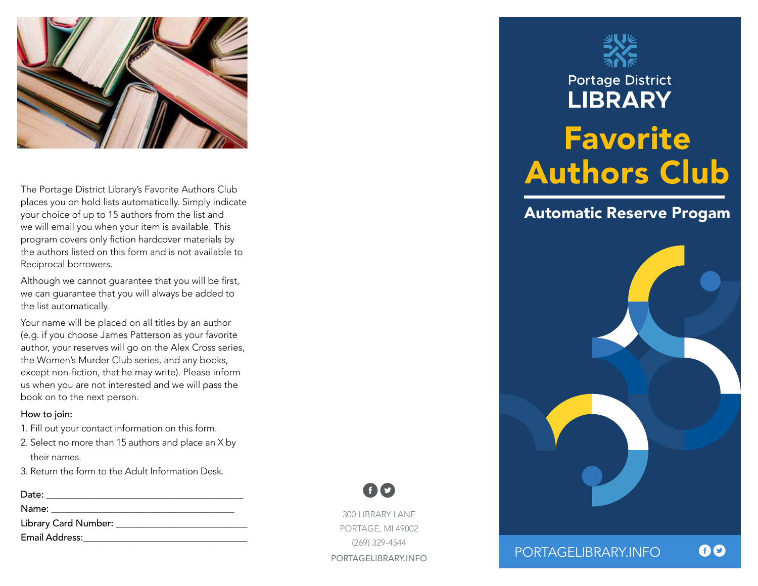

The Portage District Library's Favorite Authors Club places you on hold lists automatically. Simply indicate your choice of up to 15 authors from the list and we will email you when your item is available. This program covers only fiction hardcover materials by the authors listed on this form and is not available to Reciprocal borrowers.

Although we cannot guarantee that you will be first, we can guarantee that you will always be added to the list automatically.

Your name will be placed on all titles by an author (e.g. if you choose James Patterson as your favorite author, your reserves will go on the Alex Cross series, the Women's Murder Club series, and any books, except non-fiction, that he may write). Please inform us when you are not interested and we will pass the book on to the next person.

## How to join:

- 1. Fill out your contact information on this form.
- 2. Select no more than 15 authors and place an X by their names.

300 LIBRARY LANE PORTAGE, MI 49002 (269) 329-4544 PORTAGELIBRARY.INFO

60

3. Return the form to the Adult Information Desk.

## Date: \_\_\_\_\_\_\_\_\_\_\_\_\_\_\_\_\_\_\_\_\_\_\_\_\_\_\_\_\_\_\_\_\_\_\_\_\_\_\_\_\_\_

Name: \_\_\_\_\_\_\_\_\_\_\_\_\_\_\_\_\_\_\_\_\_\_\_\_\_\_\_\_\_\_\_\_\_\_\_\_\_\_\_

Library Card Number: \_\_\_\_\_\_\_\_\_\_\_\_\_\_\_\_\_\_\_\_\_\_\_\_\_\_\_\_

Email Address:\_\_\_\_\_\_\_\_\_\_\_\_\_\_\_\_\_\_\_\_\_\_\_\_\_\_\_\_\_\_\_\_\_\_\_



**Portage District** 

## **LIBRARY** Favorite Authors Club

## Automatic Reserve Progam